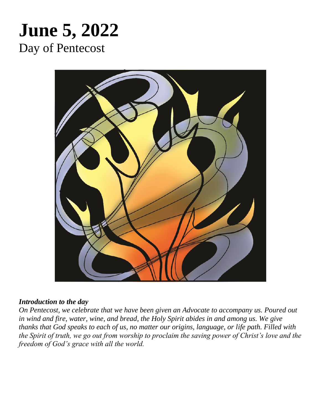# **June 5, 2022** Day of Pentecost



#### *Introduction to the day*

*On Pentecost, we celebrate that we have been given an Advocate to accompany us. Poured out in wind and fire, water, wine, and bread, the Holy Spirit abides in and among us. We give thanks that God speaks to each of us, no matter our origins, language, or life path. Filled with the Spirit of truth, we go out from worship to proclaim the saving power of Christ's love and the freedom of God's grace with all the world.*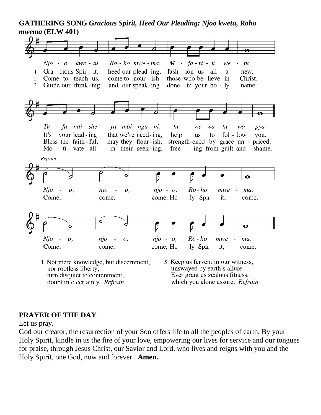#### **GATHERING SONG** *Gracious Spirit, Heed Our Pleading: Njoo kwetu, Roho mwema* **(ELW 401)**



#### **PRAYER OF THE DAY**

Let us pray.

God our creator, the resurrection of your Son offers life to all the peoples of earth. By your Holy Spirit, kindle in us the fire of your love, empowering our lives for service and our tongues for praise, through Jesus Christ, our Savior and Lord, who lives and reigns with you and the Holy Spirit, one God, now and forever. **Amen.**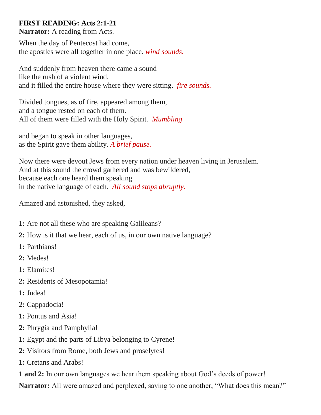## **FIRST READING: Acts 2:1-21**

**Narrator:** A reading from Acts.

When the day of Pentecost had come, the apostles were all together in one place. *wind sounds.*

And suddenly from heaven there came a sound like the rush of a violent wind, and it filled the entire house where they were sitting. *fire sounds.*

Divided tongues, as of fire, appeared among them, and a tongue rested on each of them. All of them were filled with the Holy Spirit. *Mumbling*

and began to speak in other languages, as the Spirit gave them ability. *A brief pause.*

Now there were devout Jews from every nation under heaven living in Jerusalem. And at this sound the crowd gathered and was bewildered, because each one heard them speaking in the native language of each. *All sound stops abruptly.*

Amazed and astonished, they asked,

- **1:** Are not all these who are speaking Galileans?
- **2:** How is it that we hear, each of us, in our own native language?
- **1:** Parthians!
- **2:** Medes!
- **1:** Elamites!
- **2:** Residents of Mesopotamia!
- **1:** Judea!
- **2:** Cappadocia!
- **1:** Pontus and Asia!
- **2:** Phrygia and Pamphylia!
- **1:** Egypt and the parts of Libya belonging to Cyrene!
- **2:** Visitors from Rome, both Jews and proselytes!
- **1:** Cretans and Arabs!

**1 and 2:** In our own languages we hear them speaking about God's deeds of power! **Narrator:** All were amazed and perplexed, saying to one another, "What does this mean?"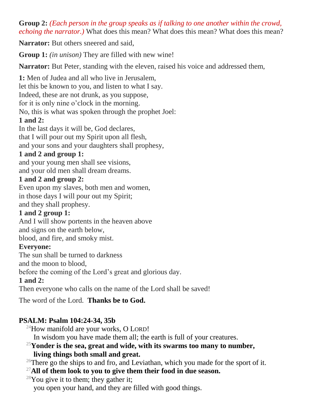**Group 2:** *(Each person in the group speaks as if talking to one another within the crowd, echoing the narrator.*) What does this mean? What does this mean? What does this mean?

**Narrator:** But others sneered and said,

**Group 1:** *(in unison)* They are filled with new wine!

**Narrator:** But Peter, standing with the eleven, raised his voice and addressed them,

**1:** Men of Judea and all who live in Jerusalem, let this be known to you, and listen to what I say. Indeed, these are not drunk, as you suppose, for it is only nine o'clock in the morning. No, this is what was spoken through the prophet Joel:

# **1 and 2:**

In the last days it will be, God declares, that I will pour out my Spirit upon all flesh, and your sons and your daughters shall prophesy,

#### **1 and 2 and group 1:**

and your young men shall see visions, and your old men shall dream dreams.

## **1 and 2 and group 2:**

Even upon my slaves, both men and women, in those days I will pour out my Spirit; and they shall prophesy.

## **1 and 2 group 1:**

And I will show portents in the heaven above and signs on the earth below, blood, and fire, and smoky mist.

## **Everyone:**

The sun shall be turned to darkness

and the moon to blood,

before the coming of the Lord's great and glorious day.

## **1 and 2:**

Then everyone who calls on the name of the Lord shall be saved!

The word of the Lord. **Thanks be to God.**

# **PSALM: Psalm 104:24-34, 35b**

 $^{24}$ How manifold are your works, O LORD!

In wisdom you have made them all; the earth is full of your creatures.

#### <sup>25</sup>**Yonder is the sea, great and wide, with its swarms too many to number, living things both small and great.**

 $26$ There go the ships to and fro, and Leviathan, which you made for the sport of it.

<sup>27</sup>**All of them look to you to give them their food in due season.**

#### $28$ You give it to them; they gather it;

you open your hand, and they are filled with good things.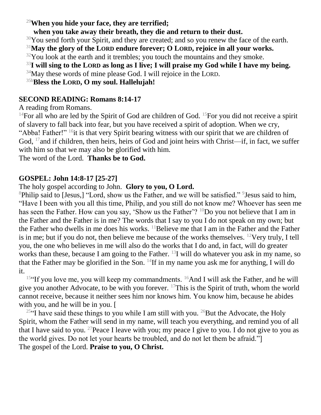<sup>29</sup>**When you hide your face, they are terrified;**

**when you take away their breath, they die and return to their dust.**

 $30$ You send forth your Spirit, and they are created; and so you renew the face of the earth.

<sup>31</sup>**May the glory of the LORD endure forever; O LORD, rejoice in all your works.**

 $32$ You look at the earth and it trembles; you touch the mountains and they smoke.

<sup>33</sup>**I will sing to the LORD as long as I live; I will praise my God while I have my being.**

 $34$ May these words of mine please God. I will rejoice in the LORD.

35b**Bless the LORD, O my soul. Hallelujah!**

#### **SECOND READING: Romans 8:14-17**

A reading from Romans.

<sup>14</sup>For all who are led by the Spirit of God are children of God. <sup>15</sup>For you did not receive a spirit of slavery to fall back into fear, but you have received a spirit of adoption. When we cry, "Abba! Father!" <sup>16</sup>it is that very Spirit bearing witness with our spirit that we are children of God, <sup>17</sup> and if children, then heirs, heirs of God and joint heirs with Christ—if, in fact, we suffer with him so that we may also be glorified with him.

The word of the Lord. **Thanks be to God.**

## **GOSPEL: John 14:8-17 [25-27]**

#### The holy gospel according to John. **Glory to you, O Lord.**

<sup>8</sup>Philip said to [Jesus,] "Lord, show us the Father, and we will be satisfied." <sup>9</sup> Jesus said to him, "Have I been with you all this time, Philip, and you still do not know me? Whoever has seen me has seen the Father. How can you say, 'Show us the Father'? <sup>10</sup>Do you not believe that I am in the Father and the Father is in me? The words that I say to you I do not speak on my own; but the Father who dwells in me does his works.  $^{11}$ Believe me that I am in the Father and the Father is in me; but if you do not, then believe me because of the works themselves. <sup>12</sup>Very truly, I tell you, the one who believes in me will also do the works that I do and, in fact, will do greater works than these, because I am going to the Father. <sup>13</sup>I will do whatever you ask in my name, so that the Father may be glorified in the Son.  $^{14}$ If in my name you ask me for anything, I will do it.

<sup>15"</sup>If you love me, you will keep my commandments. <sup>16</sup>And I will ask the Father, and he will give you another Advocate, to be with you forever.  $^{17}$ This is the Spirit of truth, whom the world cannot receive, because it neither sees him nor knows him. You know him, because he abides with you, and he will be in you. [

<sup>25"</sup>I have said these things to you while I am still with you. <sup>26</sup>But the Advocate, the Holy Spirit, whom the Father will send in my name, will teach you everything, and remind you of all that I have said to you. <sup>27</sup> Peace I leave with you; my peace I give to you. I do not give to you as the world gives. Do not let your hearts be troubled, and do not let them be afraid."] The gospel of the Lord. **Praise to you, O Christ.**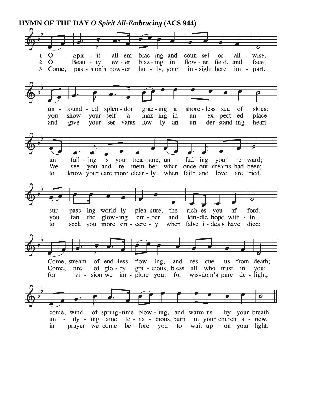**HYMN OF THE DAY** *O Spirit All-Embracing* **(ACS 944)**

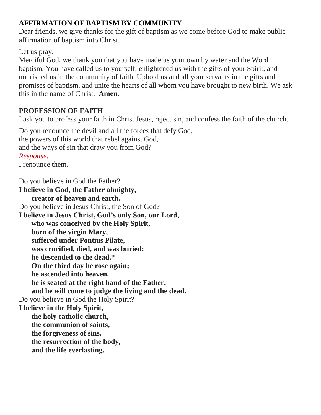# **AFFIRMATION OF BAPTISM BY COMMUNITY**

Dear friends, we give thanks for the gift of baptism as we come before God to make public affirmation of baptism into Christ.

## Let us pray.

Merciful God, we thank you that you have made us your own by water and the Word in baptism. You have called us to yourself, enlightened us with the gifts of your Spirit, and nourished us in the community of faith. Uphold us and all your servants in the gifts and promises of baptism, and unite the hearts of all whom you have brought to new birth. We ask this in the name of Christ. **Amen.**

# **PROFESSION OF FAITH**

I ask you to profess your faith in Christ Jesus, reject sin, and confess the faith of the church.

Do you renounce the devil and all the forces that defy God, the powers of this world that rebel against God, and the ways of sin that draw you from God? *Response:* I renounce them.

Do you believe in God the Father?

**I believe in God, the Father almighty, creator of heaven and earth.** Do you believe in Jesus Christ, the Son of God? **I believe in Jesus Christ, God's only Son, our Lord, who was conceived by the Holy Spirit, born of the virgin Mary, suffered under Pontius Pilate, was crucified, died, and was buried; he descended to the dead.\* On the third day he rose again; he ascended into heaven, he is seated at the right hand of the Father, and he will come to judge the living and the dead.** Do you believe in God the Holy Spirit? **I believe in the Holy Spirit, the holy catholic church, the communion of saints, the forgiveness of sins, the resurrection of the body, and the life everlasting.**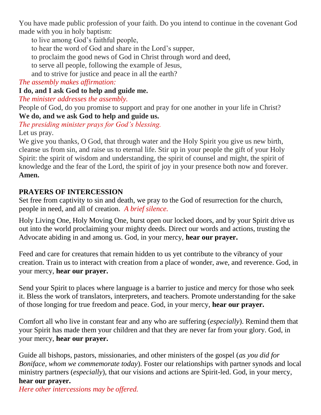You have made public profession of your faith. Do you intend to continue in the covenant God made with you in holy baptism:

to live among God's faithful people,

to hear the word of God and share in the Lord's supper,

to proclaim the good news of God in Christ through word and deed,

to serve all people, following the example of Jesus,

and to strive for justice and peace in all the earth?

*The assembly makes affirmation:*

**I do, and I ask God to help and guide me.**

*The minister addresses the assembly.*

People of God, do you promise to support and pray for one another in your life in Christ? **We do, and we ask God to help and guide us.**

*The presiding minister prays for God's blessing.* Let us pray.

We give you thanks, O God, that through water and the Holy Spirit you give us new birth, cleanse us from sin, and raise us to eternal life. Stir up in your people the gift of your Holy Spirit: the spirit of wisdom and understanding, the spirit of counsel and might, the spirit of knowledge and the fear of the Lord, the spirit of joy in your presence both now and forever. **Amen.**

## **PRAYERS OF INTERCESSION**

Set free from captivity to sin and death, we pray to the God of resurrection for the church, people in need, and all of creation. *A brief silence.*

Holy Living One, Holy Moving One, burst open our locked doors, and by your Spirit drive us out into the world proclaiming your mighty deeds. Direct our words and actions, trusting the Advocate abiding in and among us. God, in your mercy, **hear our prayer.**

Feed and care for creatures that remain hidden to us yet contribute to the vibrancy of your creation. Train us to interact with creation from a place of wonder, awe, and reverence. God, in your mercy, **hear our prayer.**

Send your Spirit to places where language is a barrier to justice and mercy for those who seek it. Bless the work of translators, interpreters, and teachers. Promote understanding for the sake of those longing for true freedom and peace. God, in your mercy, **hear our prayer.**

Comfort all who live in constant fear and any who are suffering (*especially*). Remind them that your Spirit has made them your children and that they are never far from your glory. God, in your mercy, **hear our prayer.**

Guide all bishops, pastors, missionaries, and other ministers of the gospel (*as you did for Boniface, whom we commemorate today*). Foster our relationships with partner synods and local ministry partners (*especially*), that our visions and actions are Spirit-led. God, in your mercy, **hear our prayer.**

*Here other intercessions may be offered.*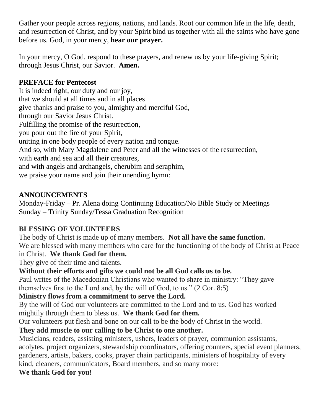Gather your people across regions, nations, and lands. Root our common life in the life, death, and resurrection of Christ, and by your Spirit bind us together with all the saints who have gone before us. God, in your mercy, **hear our prayer.**

In your mercy, O God, respond to these prayers, and renew us by your life-giving Spirit; through Jesus Christ, our Savior. **Amen.**

# **PREFACE for Pentecost**

It is indeed right, our duty and our joy, that we should at all times and in all places give thanks and praise to you, almighty and merciful God, through our Savior Jesus Christ. Fulfilling the promise of the resurrection, you pour out the fire of your Spirit, uniting in one body people of every nation and tongue. And so, with Mary Magdalene and Peter and all the witnesses of the resurrection, with earth and sea and all their creatures, and with angels and archangels, cherubim and seraphim, we praise your name and join their unending hymn:

## **ANNOUNCEMENTS**

Monday-Friday – Pr. Alena doing Continuing Education/No Bible Study or Meetings Sunday – Trinity Sunday/Tessa Graduation Recognition

## **BLESSING OF VOLUNTEERS**

The body of Christ is made up of many members. **Not all have the same function.** We are blessed with many members who care for the functioning of the body of Christ at Peace

# in Christ. **We thank God for them.**

They give of their time and talents.

## **Without their efforts and gifts we could not be all God calls us to be.**

Paul writes of the Macedonian Christians who wanted to share in ministry: "They gave themselves first to the Lord and, by the will of God, to us." (2 Cor. 8:5)

# **Ministry flows from a commitment to serve the Lord.**

By the will of God our volunteers are committed to the Lord and to us. God has worked mightily through them to bless us. **We thank God for them.**

Our volunteers put flesh and bone on our call to be the body of Christ in the world.

# **They add muscle to our calling to be Christ to one another.**

Musicians, readers, assisting ministers, ushers, leaders of prayer, communion assistants, acolytes, project organizers, stewardship coordinators, offering counters, special event planners, gardeners, artists, bakers, cooks, prayer chain participants, ministers of hospitality of every kind, cleaners, communicators, Board members, and so many more: **We thank God for you!**